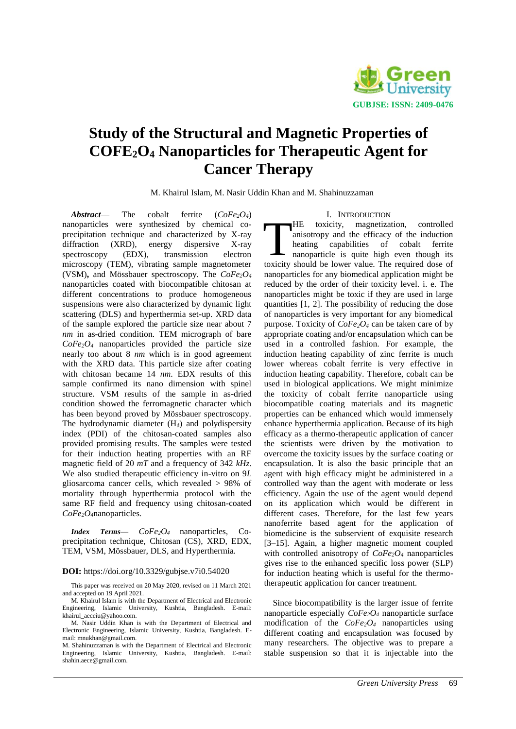

# **Study of the Structural and Magnetic Properties of COFE2O<sup>4</sup> Nanoparticles for Therapeutic Agent for Cancer Therapy**

M. Khairul Islam, M. Nasir Uddin Khan and M. Shahinuzzaman

*Abstract*— The cobalt ferrite (*CoFe2O4*) nanoparticles were synthesized by chemical coprecipitation technique and characterized by X-ray diffraction (XRD), energy dispersive X-ray spectroscopy (EDX), transmission electron microscopy (TEM), vibrating sample magnetometer (VSM)**,** and Mössbauer spectroscopy. The *CoFe2O<sup>4</sup>* nanoparticles coated with biocompatible chitosan at different concentrations to produce homogeneous suspensions were also characterized by dynamic light scattering (DLS) and hyperthermia set-up. XRD data of the sample explored the particle size near about 7 *nm* in as-dried condition. TEM micrograph of bare *CoFe2O4* nanoparticles provided the particle size nearly too about 8 *nm* which is in good agreement with the XRD data. This particle size after coating with chitosan became 14 *nm*. EDX results of this sample confirmed its nano dimension with spinel structure. VSM results of the sample in as-dried condition showed the ferromagnetic character which has been beyond proved by Mössbauer spectroscopy. The hydrodynamic diameter  $(H_d)$  and polydispersity index (PDI) of the chitosan-coated samples also provided promising results. The samples were tested for their induction heating properties with an RF magnetic field of 20 *mT* and a frequency of 342 *kHz*. We also studied therapeutic efficiency in-vitro on 9*L*  gliosarcoma cancer cells, which revealed > 98% of mortality through hyperthermia protocol with the same RF field and frequency using chitosan-coated *CoFe2O4*nanoparticles.

*Index Terms*— *CoFe2O4* nanoparticles, Coprecipitation technique, Chitosan (CS), XRD, EDX, TEM, VSM, Mössbauer, DLS, and Hyperthermia.

#### **DOI:** https://doi.org/10.3329/gubjse.v7i0.54020

This paper was received on 20 May 2020, revised on 11 March 2021 and accepted on 19 April 2021.

M. Khairul Islam is with the Department of Electrical and Electronic Engineering, Islamic University, Kushtia, Bangladesh. E-mail: [khairul\\_aeceiu@yahoo.com.](mailto:khairul_aeceiu@yahoo.com)

## I. INTRODUCTION

HE toxicity, magnetization, controlled anisotropy and the efficacy of the induction heating capabilities of cobalt ferrite nanoparticle is quite high even though its THE toxicity, magnetization, controlled<br>anisotropy and the efficacy of the induction<br>heating capabilities of cobalt ferrite<br>nanoparticle is quite high even though its<br>toxicity should be lower value. The required dose of nanoparticles for any biomedical application might be reduced by the order of their toxicity level. i. e. The nanoparticles might be toxic if they are used in large quantities [1, 2]. The possibility of reducing the dose of nanoparticles is very important for any biomedical purpose. Toxicity of *CoFe2O<sup>4</sup>* can be taken care of by appropriate coating and/or encapsulation which can be used in a controlled fashion. For example, the induction heating capability of zinc ferrite is much lower whereas cobalt ferrite is very effective in induction heating capability. Therefore, cobalt can be used in biological applications. We might minimize the toxicity of cobalt ferrite nanoparticle using biocompatible coating materials and its magnetic properties can be enhanced which would immensely enhance hyperthermia application. Because of its high efficacy as a thermo-therapeutic application of cancer the scientists were driven by the motivation to overcome the toxicity issues by the surface coating or encapsulation. It is also the basic principle that an agent with high efficacy might be administered in a controlled way than the agent with moderate or less efficiency. Again the use of the agent would depend on its application which would be different in different cases. Therefore, for the last few years nanoferrite based agent for the application of biomedicine is the subservient of exquisite research [3–15]. Again, a higher magnetic moment coupled with controlled anisotropy of *CoFe2O<sup>4</sup>* nanoparticles gives rise to the enhanced specific loss power (SLP) for induction heating which is useful for the thermotherapeutic application for cancer treatment.

Since biocompatibility is the larger issue of ferrite nanoparticle especially *CoFe2O<sup>4</sup>* nanoparticle surface modification of the *CoFe2O<sup>4</sup>* nanoparticles using different coating and encapsulation was focused by many researchers. The objective was to prepare a stable suspension so that it is injectable into the

M. Nasir Uddin Khan is with the Department of Electrical and Electronic Engineering, Islamic University, Kushtia, Bangladesh. Email: mnukhan@gmail.com.

M. Shahinuzzaman is with the Department of Electrical and Electronic Engineering, Islamic University, Kushtia, Bangladesh. E-mail: [shahin.aece@gmail.com.](mailto:shahin.aece@gmail.com)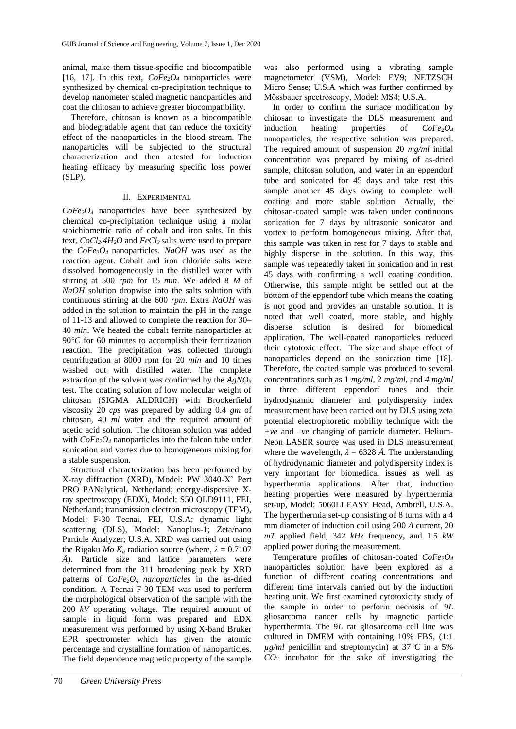animal, make them tissue-specific and biocompatible [16, 17]. In this text,  $CoFe<sub>2</sub>O<sub>4</sub>$  nanoparticles were synthesized by chemical co-precipitation technique to develop nanometer scaled magnetic nanoparticles and coat the chitosan to achieve greater biocompatibility.

Therefore, chitosan is known as a biocompatible and biodegradable agent that can reduce the toxicity effect of the nanoparticles in the blood stream. The nanoparticles will be subjected to the structural characterization and then attested for induction heating efficacy by measuring specific loss power (SLP).

# II. EXPERIMENTAL

*CoFe2O4* nanoparticles have been synthesized by chemical co-precipitation technique using a molar stoichiometric ratio of cobalt and iron salts. In this text, *CoCl2.4H2O* and *FeCl3* salts were used to prepare the *CoFe2O4* nanoparticles. *NaOH* was used as the reaction agent. Cobalt and iron chloride salts were dissolved homogeneously in the distilled water with stirring at 500 *rpm* for 15 *min*. We added 8 *M* of *NaOH* solution dropwise into the salts solution with continuous stirring at the 600 *rpm*. Extra *NaOH* was added in the solution to maintain the pH in the range of 11-13 and allowed to complete the reaction for 30– 40 *min*. We heated the cobalt ferrite nanoparticles at 90<sup>°</sup>C for 60 minutes to accomplish their ferritization reaction. The precipitation was collected through centrifugation at 8000 rpm for 20 *min* and 10 times washed out with distilled water. The complete extraction of the solvent was confirmed by the *AgNO<sup>3</sup>* test. The coating solution of low molecular weight of chitosan (SIGMA ALDRICH) with Brookerfield viscosity 20 *cps* was prepared by adding 0.4 *gm* of chitosan, 40 *ml* water and the required amount of acetic acid solution. The chitosan solution was added with *CoFe2O<sup>4</sup>* nanoparticles into the falcon tube under sonication and vortex due to homogeneous mixing for a stable suspension.

Structural characterization has been performed by X-ray diffraction (XRD), Model: PW 3040-X' Pert PRO PANalytical, Netherland; energy-dispersive Xray spectroscopy (EDX), Model: S50 QLD9111, FEI, Netherland; transmission electron microscopy (TEM), Model: F-30 Tecnai, FEI, U.S.A; dynamic light scattering (DLS), Model: Nanoplus-1; Zeta/nano Particle Analyzer; U.S.A. XRD was carried out using the Rigaku *Mo K<sub>a</sub>* radiation source (where,  $\lambda = 0.7107$ *Å*). Particle size and lattice parameters were determined from the 311 broadening peak by XRD patterns of *CoFe2O4 nanoparticles* in the as-dried condition. A Tecnai F-30 TEM was used to perform the morphological observation of the sample with the 200 *kV* operating voltage. The required amount of sample in liquid form was prepared and EDX measurement was performed by using X-band Bruker EPR spectrometer which has given the atomic percentage and crystalline formation of nanoparticles. The field dependence magnetic property of the sample

was also performed using a vibrating sample magnetometer (VSM), Model: EV9; NETZSCH Micro Sense; U.S.A which was further confirmed by Mӧssbauer spectroscopy, Model: MS4; U.S.A.

In order to confirm the surface modification by chitosan to investigate the DLS measurement and induction heating properties of *CoFe2O<sup>4</sup>* nanoparticles, the respective solution was prepared. The required amount of suspension 20 *mg/ml* initial concentration was prepared by mixing of as-dried sample, chitosan solution*,* and water in an eppendorf tube and sonicated for 45 days and take rest this sample another 45 days owing to complete well coating and more stable solution. Actually*,* the chitosan-coated sample was taken under continuous sonication for 7 days by ultrasonic sonicator and vortex to perform homogeneous mixing. After that, this sample was taken in rest for 7 days to stable and highly disperse in the solution. In this way, this sample was repeatedly taken in sonication and in rest 45 days with confirming a well coating condition. Otherwise, this sample might be settled out at the bottom of the eppendorf tube which means the coating is not good and provides an unstable solution. It is noted that well coated, more stable, and highly disperse solution is desired for biomedical application. The well-coated nanoparticles reduced their cytotoxic effect. The size and shape effect of nanoparticles depend on the sonication time [18]. Therefore, the coated sample was produced to several concentrations such as 1 *mg/ml*, 2 *mg/ml*, and *4 mg/ml* in three different eppendorf tubes and their hydrodynamic diameter and polydispersity index measurement have been carried out by DLS using zeta potential electrophoretic mobility technique with the *+ve* and *–ve* changing of particle diameter. Helium-Neon LASER source was used in DLS measurement where the wavelength,  $\lambda = 6328 \text{ Å}$ . The understanding of hydrodynamic diameter and polydispersity index is very important for biomedical issue**s** as well as hyperthermia application**s**. After that, induction heating properties were measured by hyperthermia set-up, Model: 5060LI EASY Head, Ambrell, U.S.A. The hyperthermia set-up consisting of 8 turns with a 4 mm diameter of induction coil using 200 *A* current, 20 *mT* applied field, 342 *kHz* frequency**,** and 1.5 *kW* applied power during the measurement.

Temperature profiles of chitosan-coated *CoFe2O<sup>4</sup>* nanoparticles solution have been explored as a function of different coating concentrations and different time intervals carried out by the induction heating unit. We first examined cytotoxicity study of the sample in order to perform necrosis of 9*L* gliosarcoma cancer cells by magnetic particle hyperthermia. The 9*L* rat gliosarcoma cell line was cultured in DMEM with containing 10% FBS, (1:1  $\mu$ g/ml penicillin and streptomycin) at 37<sup>°</sup>C in a 5<sup>%</sup> *CO<sup>2</sup>* incubator for the sake of investigating the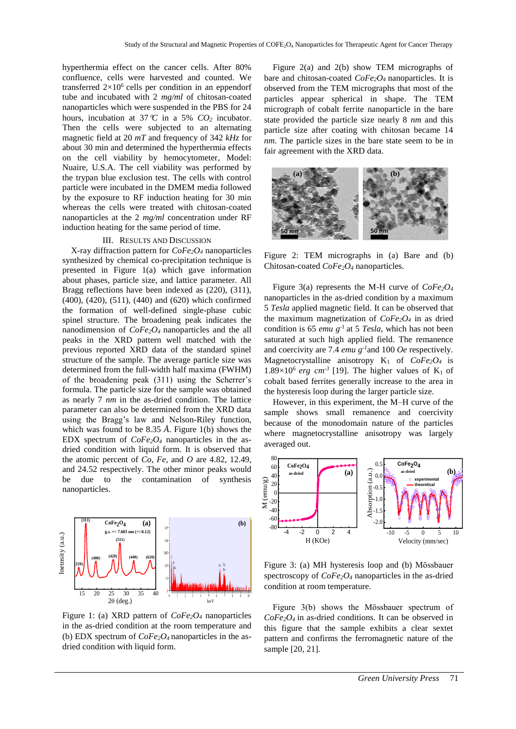hyperthermia effect on the cancer cells. After 80% confluence, cells were harvested and counted. We transferred  $2\times10^6$  cells per condition in an eppendorf tube and incubated with 2 *mg/ml* of chitosan-coated nanoparticles which were suspended in the PBS for 24 hours, incubation at 37  $\mathcal{C}$  in a 5%  $CO_2$  incubator. Then the cells were subjected to an alternating magnetic field at 20 *mT* and frequency of 342 *kHz* for about 30 min and determined the hyperthermia effects on the cell viability by hemocytometer, Model: Nuaire, U.S.A. The cell viability was performed by the trypan blue exclusion test. The cells with control particle were incubated in the DMEM media followed by the exposure to RF induction heating for 30 min whereas the cells were treated with chitosan-coated nanoparticles at the 2 *mg/ml* concentration under RF induction heating for the same period of time.

## III. RESULTS AND DISCUSSION

X-ray diffraction pattern for *CoFe2O<sup>4</sup>* nanoparticles synthesized by chemical co-precipitation technique is presented in Figure 1(a) which gave information about phases, particle size, and lattice parameter. All Bragg reflections have been indexed as (220), (311), (400), (420), (511), (440) and (620) which confirmed the formation of well-defined single-phase cubic spinel structure. The broadening peak indicates the nanodimension of *CoFe2O4* nanoparticles and the all peaks in the XRD pattern well matched with the previous reported XRD data of the standard spinel structure of the sample. The average particle size was determined from the full-width half maxima (FWHM) of the broadening peak (311) using the Scherrer's formula. The particle size for the sample was obtained as nearly 7 *nm* in the as-dried condition. The lattice parameter can also be determined from the XRD data using the Bragg's law and Nelson-Riley function, which was found to be 8.35 *Å*. Figure 1(b) shows the EDX spectrum of *CoFe2O<sup>4</sup>* nanoparticles in the asdried condition with liquid form. It is observed that the atomic percent of *Co, Fe*, and *O* are 4.82, 12.49, and 24.52 respectively. The other minor peaks would be due to the contamination of synthesis nanoparticles.



Figure 1: (a) XRD pattern of *CoFe2O<sup>4</sup>* nanoparticles in the as-dried condition at the room temperature and (b) EDX spectrum of *CoFe2O4* nanoparticles in the asdried condition with liquid form*.*

Figure 2(a) and 2(b) show TEM micrographs of bare and chitosan-coated *CoFe2O4* nanoparticles. It is observed from the TEM micrographs that most of the particles appear spherical in shape. The TEM micrograph of cobalt ferrite nanoparticle in the bare state provided the particle size nearly 8 *nm* and this particle size after coating with chitosan became 14 *nm*. The particle sizes in the bare state seem to be in fair agreement with the XRD data.



Figure 2: TEM micrographs in (a) Bare and (b) Chitosan-coated *CoFe2O<sup>4</sup>* nanoparticles.

Figure 3(a) represents the M-H curve of *CoFe2O<sup>4</sup>* nanoparticles in the as-dried condition by a maximum 5 *Tesla* applied magnetic field. It can be observed that the maximum magnetization of  $CoFe<sub>2</sub>O<sub>4</sub>$  in as dried condition is 65 *emu g-*<sup>1</sup>at 5 *Tesla*, which has not been saturated at such high applied field. The remanence and coercivity are 7.4 *emu g-1* and 100 *Oe* respectively. Magnetocrystalline anisotropy  $K_1$  of  $CoFe_2O_4$  is  $1.89\times10^6$  erg cm<sup>-3</sup> [19]. The higher values of K<sub>1</sub> of cobalt based ferrites generally increase to the area in the hysteresis loop during the larger particle size.

However, in this experiment, the M–H curve of the sample shows small remanence and coercivity because of the monodomain nature of the particles where magnetocrystalline anisotropy was largely averaged out.



Figure 3: (a) MH hysteresis loop and (b) Mӧssbauer spectroscopy of *CoFe2O<sup>4</sup>* nanoparticles in the as-dried condition at room temperature.

Figure 3(b) shows the Mӧssbauer spectrum of *CoFe2O4* in as-dried conditions. It can be observed in this figure that the sample exhibits a clear sextet pattern and confirms the ferromagnetic nature of the sample [20, 21].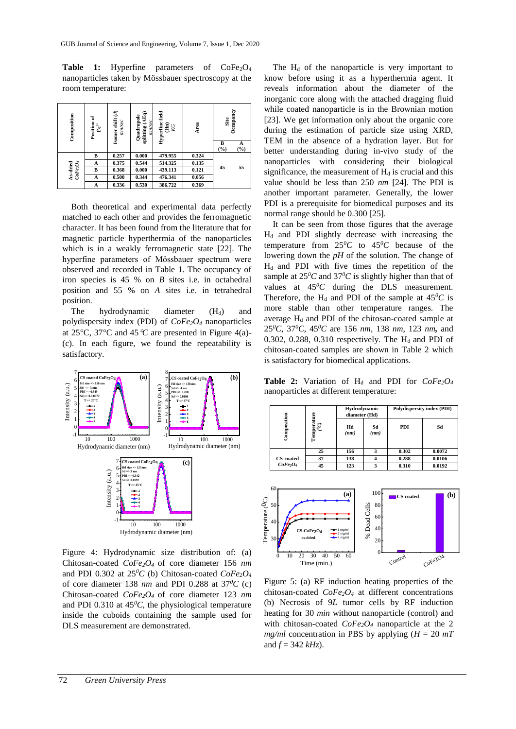**Table 1:** Hyperfine parameters of CoFe<sub>2</sub>O<sub>4</sub> nanoparticles taken by Mössbauer spectroscopy at the room temperature:

| Composition                                              | Position of<br>$\mathbb{F}\mathrm{e}^{3+}$ | Isomer shift $(d)$<br>nun/sec | splitting (AEq)<br>Quadrupole<br>nm/sec | Hyperfine field<br>$\widehat{\mathbf{H}}$ | Area  | Site     | Occupancy |
|----------------------------------------------------------|--------------------------------------------|-------------------------------|-----------------------------------------|-------------------------------------------|-------|----------|-----------|
|                                                          |                                            |                               |                                         |                                           |       | B<br>(°) | A<br>(%)  |
| ${\bf As}\mbox{-}\bf{dried} \\ \label{eq:2.1} CoFe_2O_4$ | в                                          | 0.257                         | 0.000                                   | 479.955                                   | 0.324 | 45       | 55        |
|                                                          | A                                          | 0.375                         | 0.544                                   | 514.325                                   | 0.135 |          |           |
|                                                          | в                                          | 0.368                         | 0.000                                   | 439.113                                   | 0.121 |          |           |
|                                                          | A                                          | 0.500                         | 0.344                                   | 476.341                                   | 0.056 |          |           |
|                                                          | A                                          | 0.336                         | 0.530                                   | 386.722                                   | 0.369 |          |           |

Both theoretical and experimental data perfectly matched to each other and provides the ferromagnetic character. It has been found from the literature that for magnetic particle hyperthermia of the nanoparticles which is in a weakly ferromagnetic state [22]. The hyperfine parameters of Mӧssbauer spectrum were observed and recorded in Table 1. The occupancy of iron species is 45 % on *B* sites i.e. in octahedral position and 55 % on *A* sites i.e. in tetrahedral position.

The hydrodynamic diameter  $(H_d)$  and polydispersity index (PDI) of *CoFe2O<sup>4</sup>* nanoparticles at 25 $\degree$ C, 37 $\degree$ C and 45 $\degree$ C are presented in Figure 4(a)-(c). In each figure, we found the repeatability is satisfactory.



Figure 4: Hydrodynamic size distribution of: (a) Chitosan-coated *CoFe2O4* of core diameter 156 *nm* and PDI 0.302 at  $25^{0}C$  (b) Chitosan-coated  $CoFe<sub>2</sub>O<sub>4</sub>$ of core diameter 138  $nm$  and PDI 0.288 at 37<sup>0</sup>*C* (c) Chitosan-coated *CoFe2O4* of core diameter 123 *nm* and PDI 0.310 at  $45^{\circ}$ C, the physiological temperature inside the cuboids containing the sample used for DLS measurement are demonstrated.

The  $H_d$  of the nanoparticle is very important to know before using it as a hyperthermia agent. It reveals information about the diameter of the inorganic core along with the attached dragging fluid while coated nanoparticle is in the Brownian motion [23]. We get information only about the organic core during the estimation of particle size using XRD, TEM in the absence of a hydration layer. But for better understanding during in-vivo study of the nanoparticles with considering their biological significance, the measurement of  $H_d$  is crucial and this value should be less than 250 *nm* [24]. The PDI is another important parameter. Generally, the lower PDI is a prerequisite for biomedical purposes and its normal range should be 0.300 [25].

It can be seen from those figures that the average  $H_d$  and PDI slightly decrease with increasing the temperature from  $25^{0}C$  to  $45^{0}C$  because of the lowering down the *pH* of the solution. The change of  $H_d$  and PDI with five times the repetition of the sample at  $25^{0}C$  and  $37^{0}C$  is slightly higher than that of values at  $45\degree C$  during the DLS measurement. Therefore, the H<sub>d</sub> and PDI of the sample at  $45^{\circ}$ C is more stable than other temperature ranges. The average  $H_d$  and PDI of the chitosan-coated sample at 25*<sup>0</sup>C*, 37*<sup>0</sup>C*, 45*<sup>0</sup>C* are 156 *nm*, 138 *nm*, 123 *nm,* and 0.302, 0.288, 0.310 respectively. The  $H_d$  and PDI of chitosan-coated samples are shown in Table 2 which is satisfactory for biomedical applications.

**Table 2:** Variation of H<sub>d</sub> and PDI for  $CoFe<sub>2</sub>O<sub>4</sub>$ nanoparticles at different temperature:

|                                  | Ĕ            | Hydrodynamic<br>diameter (Hd) |            | Polydispersity index (PDI) |        |
|----------------------------------|--------------|-------------------------------|------------|----------------------------|--------|
| Composition                      | Tempera<br>G | Hd<br>(nm)                    | Sd<br>(nm) | PDI                        | Sd     |
|                                  | 25           | 156                           | 3          | 0.302                      | 0.0072 |
| <b>CS-coated</b>                 | 37           | 138                           |            | 0.288                      | 0.0106 |
| CoFe <sub>2</sub> O <sub>4</sub> | 45           | 123                           | 3          | 0.310                      | 0.0192 |



Figure 5: (a) RF induction heating properties of the chitosan-coated *CoFe2O<sup>4</sup>* at different concentrations (b) Necrosis of 9*L* tumor cells by RF induction heating for 30 *min* without nanoparticle (control) and with chitosan-coated *CoFe2O<sup>4</sup>* nanoparticle at the 2 *mg/ml* concentration in PBS by applying  $(H = 20 mT)$ and  $f = 342 \, kHz$ ).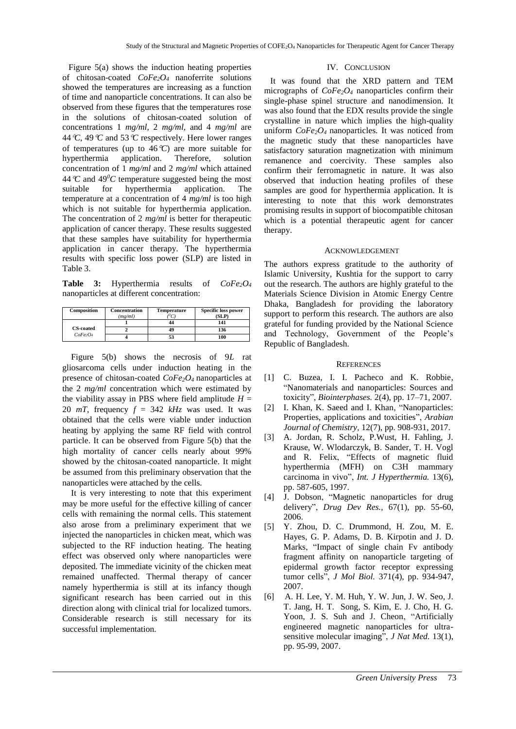Figure 5(a) shows the induction heating properties of chitosan-coated *CoFe2O4* nanoferrite solutions showed the temperatures are increasing as a function of time and nanoparticle concentrations. It can also be observed from these figures that the temperatures rose in the solutions of chitosan-coated solution of concentrations 1 *mg/ml,* 2 *mg/ml,* and 4 *mg/ml* are 44*C*, 49*C* and 53*C* respectively. Here lower ranges of temperatures (up to 46*C*) are more suitable for hyperthermia application. Therefore, solution concentration of 1 *mg/ml* and 2 *mg/ml* which attained 44  $\degree$ C and 49 $\degree$ C temperature suggested being the most suitable for hyperthermia application. The temperature at a concentration of 4 *mg/ml* is too high which is not suitable for hyperthermia application. The concentration of 2 *mg/ml* is better for therapeutic application of cancer therapy. These results suggested that these samples have suitability for hyperthermia application in cancer therapy. The hyperthermia results with specific loss power (SLP) are listed in Table 3.

**Table 3:** Hyperthermia results of *CoFe2O<sup>4</sup>* nanoparticles at different concentration:

| Composition                      | <b>Concentration</b> | <b>Temperature</b> | <b>Specific loss power</b> |  |
|----------------------------------|----------------------|--------------------|----------------------------|--|
|                                  | (mg/ml)              |                    | (SLP)                      |  |
|                                  |                      |                    | 141                        |  |
| <b>CS-coated</b>                 |                      | 49                 | 136                        |  |
| CoFe <sub>2</sub> O <sub>4</sub> |                      |                    | 100                        |  |

Figure 5(b) shows the necrosis of 9*L* rat gliosarcoma cells under induction heating in the presence of chitosan-coated *CoFe2O4* nanoparticles at the 2 *mg/ml* concentration which were estimated by the viability assay in PBS where field amplitude  $H =$ 20  $mT$ , frequency  $f = 342$   $kHz$  was used. It was obtained that the cells were viable under induction heating by applying the same RF field with control particle. It can be observed from Figure 5(b) that the high mortality of cancer cells nearly about 99% showed by the chitosan-coated nanoparticle. It might be assumed from this preliminary observation that the nanoparticles were attached by the cells.

It is very interesting to note that this experiment may be more useful for the effective killing of cancer cells with remaining the normal cells. This statement also arose from a preliminary experiment that we injected the nanoparticles in chicken meat, which was subjected to the RF induction heating. The heating effect was observed only where nanoparticles were deposited. The immediate vicinity of the chicken meat remained unaffected. Thermal therapy of cancer namely hyperthermia is still at its infancy though significant research has been carried out in this direction along with clinical trial for localized tumors. Considerable research is still necessary for its successful implementation.

#### IV. CONCLUSION

It was found that the XRD pattern and TEM micrographs of *CoFe2O<sup>4</sup>* nanoparticles confirm their single-phase spinel structure and nanodimension. It was also found that the EDX results provide the single crystalline in nature which implies the high-quality uniform *CoFe2O4* nanoparticles. It was noticed from the magnetic study that these nanoparticles have satisfactory saturation magnetization with minimum remanence and coercivity. These samples also confirm their ferromagnetic in nature. It was also observed that induction heating profiles of these samples are good for hyperthermia application. It is interesting to note that this work demonstrates promising results in support of biocompatible chitosan which is a potential therapeutic agent for cancer therapy.

## ACKNOWLEDGEMENT

The authors express gratitude to the authority of Islamic University, Kushtia for the support to carry out the research. The authors are highly grateful to the Materials Science Division in Atomic Energy Centre Dhaka, Bangladesh for providing the laboratory support to perform this research. The authors are also grateful for funding provided by the National Science and Technology, Government of the People's Republic of Bangladesh.

#### **REFERENCES**

- [1] C. Buzea, I. I. Pacheco and K. Robbie, "Nanomaterials and nanoparticles: Sources and toxicity"*, Biointerphases.* 2(4), pp. 17–71, 2007.
- [2] I. Khan, K. Saeed and I. Khan, "Nanoparticles: Properties, applications and toxicities", *Arabian Journal of Chemistry,* 12(7), pp. 908-931, 2017.
- [3] A. Jordan, R. Scholz, P.Wust, H. Fahling, J. Krause, W. Wlodarczyk, B. Sander, T. H. Vogl and R. Felix, "Effects of magnetic fluid hyperthermia (MFH) on C3H mammary carcinoma in vivo", *Int. J Hyperthermia.* 13(6), pp. 587-605, 1997.
- [4] J. Dobson, "Magnetic nanoparticles for drug delivery", *Drug Dev Res.,* 67(1), pp. 55-60, 2006.
- [5] Y. Zhou, D. C. Drummond, H. Zou, M. E. Hayes, G. P. Adams, D. B. Kirpotin and J. D. Marks, "Impact of single chain Fv antibody fragment affinity on nanoparticle targeting of epidermal growth factor receptor expressing tumor cells", *J Mol Biol.* 371(4), pp. 934-947, 2007.
- [6] A. H. Lee, Y. M. Huh, Y. W. Jun, J. W. Seo, J. T. Jang, H. T. Song, S. Kim, E. J. Cho, H. G. Yoon, J. S. Suh and J. Cheon, "Artificially engineered magnetic nanoparticles for ultrasensitive molecular imaging", *J Nat Med.* 13(1), pp. 95-99, 2007.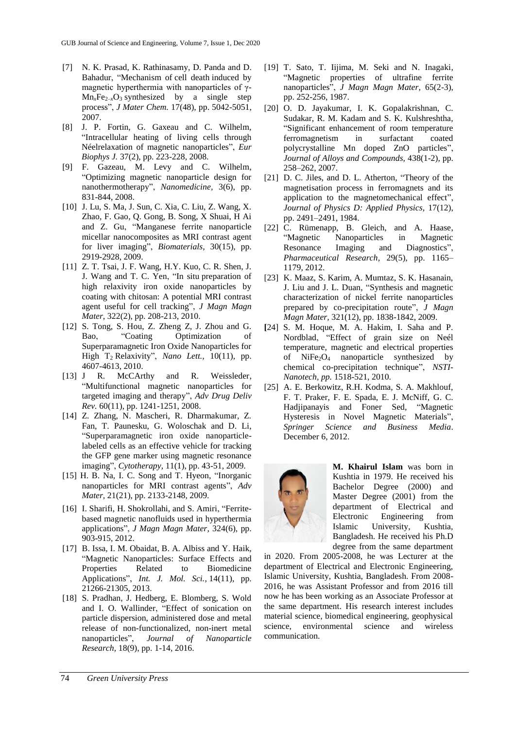- [7] N. K. Prasad, K. Rathinasamy, D. Panda and D. Bahadur, "Mechanism of cell death induced by magnetic hyperthermia with nanoparticles of γ- $Mn_xFe_{2-x}O_3$  synthesized by a single step process", *J Mater Chem.* 17(48), pp. 5042-5051, 2007.
- [8] J. P. Fortin, G. Gaxeau and C. Wilhelm, "Intracellular heating of living cells through Néelrelaxation of magnetic nanoparticles", *Eur Biophys J.* 37(2), pp. 223-228, 2008.
- [9] F. Gazeau, M. Levy and C. Wilhelm, "Optimizing magnetic nanoparticle design for nanothermotherapy", *Nanomedicine,* 3(6), pp. 831-844, 2008.
- [10] J. Lu, S. Ma, J. Sun, C. Xia, C. Liu, Z. Wang, X. Zhao, F. Gao, Q. Gong, B. Song, X Shuai, H Ai and Z. Gu, "Manganese ferrite nanoparticle micellar nanocomposites as MRI contrast agent for liver imaging", *Biomaterials,* 30(15), pp. 2919-2928, 2009.
- [11] Z. T. Tsai, J. F. Wang, H.Y. Kuo, C. R. Shen, J. J. Wang and T. C. Yen, "In situ preparation of high relaxivity iron oxide nanoparticles by coating with chitosan: A potential MRI contrast agent useful for cell tracking", *J Magn Magn Mater,* 322(2), pp. 208-213, 2010.
- [12] S. Tong, S. Hou, Z. Zheng Z, J. Zhou and G. Bao, "Coating Optimization of Superparamagnetic Iron Oxide Nanoparticles for High T<sup>2</sup> Relaxivity", *Nano Lett.,* 10(11), pp. 4607-4613, 2010.
- [13] J R. McCArthy and R. Weissleder, "Multifunctional magnetic nanoparticles for targeted imaging and therapy", *Adv Drug Deliv Rev.* 60(11), pp. 1241-1251, 2008.
- [14] Z. Zhang, N. Mascheri, R. Dharmakumar, Z. Fan, T. Paunesku, G. Woloschak and D. Li, "Superparamagnetic iron oxide nanoparticlelabeled cells as an effective vehicle for tracking the GFP gene marker using magnetic resonance imaging", *Cytotherapy,* 11(1), pp. 43-51, 2009.
- [15] H. B. Na, I. C. Song and T. Hyeon, "Inorganic nanoparticles for MRI contrast agents", *Adv Mater,* 21(21), pp. 2133-2148, 2009.
- [16] I. Sharifi, H. Shokrollahi, and S. Amiri, "Ferritebased magnetic nanofluids used in hyperthermia applications", *J Magn Magn Mater,* 324(6), pp. 903-915, 2012.
- [17] B. Issa, I. M. Obaidat, B. A. Albiss and Y. Haik, "Magnetic Nanoparticles: Surface Effects and Properties Related to Biomedicine Applications", *Int. J. Mol. Sci.,* 14(11), pp. 21266-21305, 2013.
- [18] S. Pradhan, J. Hedberg, E. Blomberg, S. Wold and I. O. Wallinder, "Effect of sonication on particle dispersion, administered dose and metal release of non-functionalized, non-inert metal nanoparticles", *Journal of Nanoparticle Research,* 18(9), pp. 1-14, 2016.
- [19] T. Sato, T. Iijima, M. Seki and N. Inagaki, "Magnetic properties of ultrafine ferrite nanoparticles", *J Magn Magn Mater,* 65(2-3), pp. 252-256, 1987.
- [20] O. D. Jayakumar, I. K. Gopalakrishnan, C. Sudakar, R. M. Kadam and S. K. Kulshreshtha, "Significant enhancement of room temperature ferromagnetism in surfactant coated polycrystalline Mn doped ZnO particles", *Journal of Alloys and Compounds,* 438(1-2), pp. 258–262, 2007.
- [21] D. C. Jiles, and D. L. Atherton, "Theory of the magnetisation process in ferromagnets and its application to the magnetomechanical effect", *Journal of Physics D: Applied Physics,* 17(12), pp. 2491–2491, 1984.
- [22] C. Rümenapp, B. Gleich, and A. Haase, "Magnetic Nanoparticles in Magnetic Resonance Imaging and Diagnostics", *Pharmaceutical Research,* 29(5), pp. 1165– 1179, 2012.
- [23] K. Maaz, S. Karim, A. Mumtaz, S. K. Hasanain, J. Liu and J. L. Duan, "Synthesis and magnetic characterization of nickel ferrite nanoparticles prepared by co-precipitation route", *J Magn Magn Mater,* 321(12), pp. 1838-1842, 2009.
- **[**24] S. M. Hoque, M. A. Hakim, I. Saha and P. Nordblad, ["Effect of grain size on Neél](https://www.researchgate.net/profile/Sheikh_Manjura_Hoque/publication/268059501_Effect_of_grain_size_on_Neel_temperature_magnetic_and_electrical_properties_of_NiFe_2_O_4_nanoparticle_synthesized_by_chemical_co-precipitation_technique/links/54b75cb50cf2bd04be338c18/Effect-of-grain-size-on-Neel-temperature-magnetic-and-electrical-properties-of-NiFe-2-O-4-nanoparticle-synthesized-by-chemical-co-precipitation-technique.pdf)  [temperature, magnetic and electrical properties](https://www.researchgate.net/profile/Sheikh_Manjura_Hoque/publication/268059501_Effect_of_grain_size_on_Neel_temperature_magnetic_and_electrical_properties_of_NiFe_2_O_4_nanoparticle_synthesized_by_chemical_co-precipitation_technique/links/54b75cb50cf2bd04be338c18/Effect-of-grain-size-on-Neel-temperature-magnetic-and-electrical-properties-of-NiFe-2-O-4-nanoparticle-synthesized-by-chemical-co-precipitation-technique.pdf)  of  $NiFe<sub>2</sub>O<sub>4</sub>$  nanoparticle synthesized by [chemical co-precipitation technique"](https://www.researchgate.net/profile/Sheikh_Manjura_Hoque/publication/268059501_Effect_of_grain_size_on_Neel_temperature_magnetic_and_electrical_properties_of_NiFe_2_O_4_nanoparticle_synthesized_by_chemical_co-precipitation_technique/links/54b75cb50cf2bd04be338c18/Effect-of-grain-size-on-Neel-temperature-magnetic-and-electrical-properties-of-NiFe-2-O-4-nanoparticle-synthesized-by-chemical-co-precipitation-technique.pdf), *NSTI-Nanotech, pp.* 1518-521, 2010.
- [25] A. E. Berkowitz, R.H. Kodma, S. A. Makhlouf, F. T. Praker, F. E. Spada, E. J. McNiff, G. C. Hadjipanayis and Foner Sed, "Magnetic Hysteresis in Novel Magnetic Materials", *Springer Science and Business Media*. December 6, 2012.



**M. Khairul Islam** was born in Kushtia in 1979. He received his Bachelor Degree (2000) and Master Degree (2001) from the department of Electrical and Electronic Engineering from Islamic University, Kushtia, Bangladesh. He received his Ph.D degree from the same department

in 2020. From 2005-2008, he was Lecturer at the department of Electrical and Electronic Engineering, Islamic University, Kushtia, Bangladesh. From 2008- 2016, he was Assistant Professor and from 2016 till now he has been working as an Associate Professor at the same department. His research interest includes material science, biomedical engineering, geophysical science, environmental science and wireless communication.